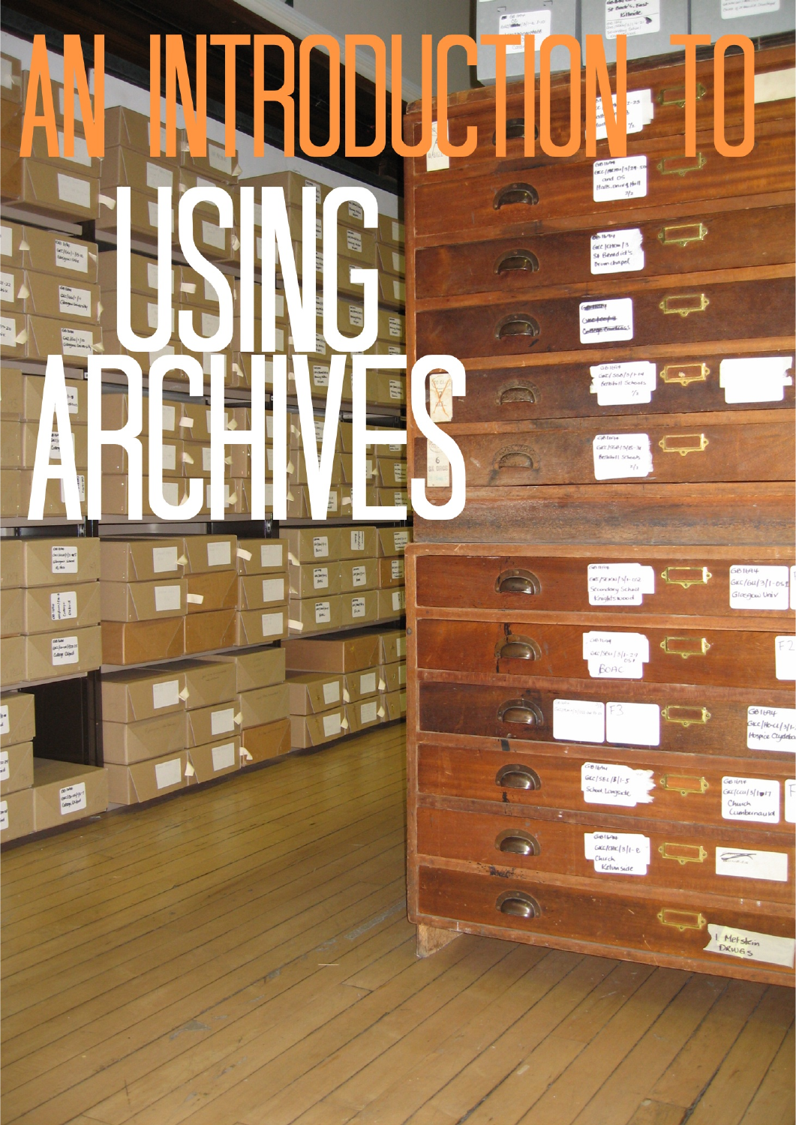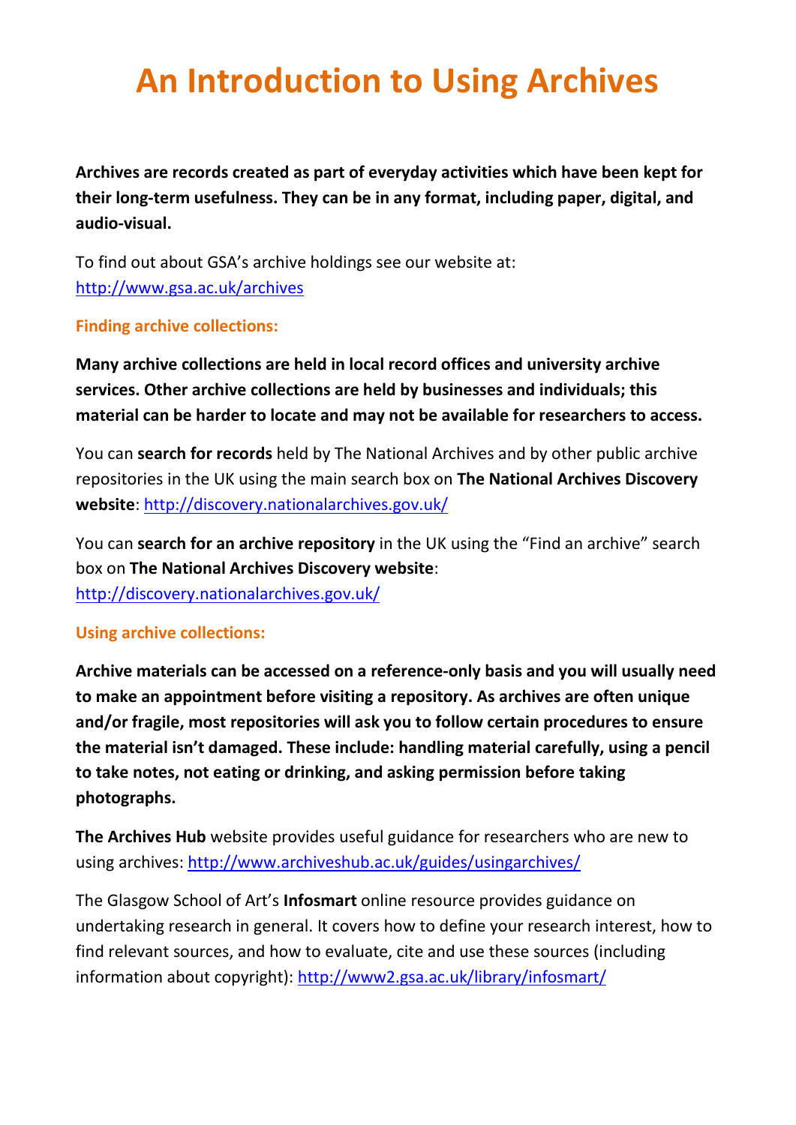## **An Introduction to Using Archives**

**Archives are records created as part of everyday activities which have been kept for their long-term usefulness. They can be in any format, including paper, digital, and audio-visual.** 

To find out about GSA's archive holdings see our website at: <http://www.gsa.ac.uk/archives>

## **Finding archive collections:**

**Many archive collections are held in local record offices and university archive services. Other archive collections are held by businesses and individuals; this material can be harder to locate and may not be available for researchers to access.** 

You can **search for records** held by The National Archives and by other public archive repositories in the UK using the main search box on **The National Archives Discovery website**: <http://discovery.nationalarchives.gov.uk/>

You can **search for an archive repository** in the UK using the "Find an archive" search box on **The National Archives Discovery website**:

<http://discovery.nationalarchives.gov.uk/>

## **Using archive collections:**

**Archive materials can be accessed on a reference-only basis and you will usually need to make an appointment before visiting a repository. As archives are often unique and/or fragile, most repositories will ask you to follow certain procedures to ensure the material isn't damaged. These include: handling material carefully, using a pencil to take notes, not eating or drinking, and asking permission before taking photographs.**

**The Archives Hub** website provides useful guidance for researchers who are new to using archives: <http://www.archiveshub.ac.uk/guides/usingarchives/>

The Glasgow School of Art's **Infosmart** online resource provides guidance on undertaking research in general. It covers how to define your research interest, how to find relevant sources, and how to evaluate, cite and use these sources (including information about copyright):<http://www2.gsa.ac.uk/library/infosmart/>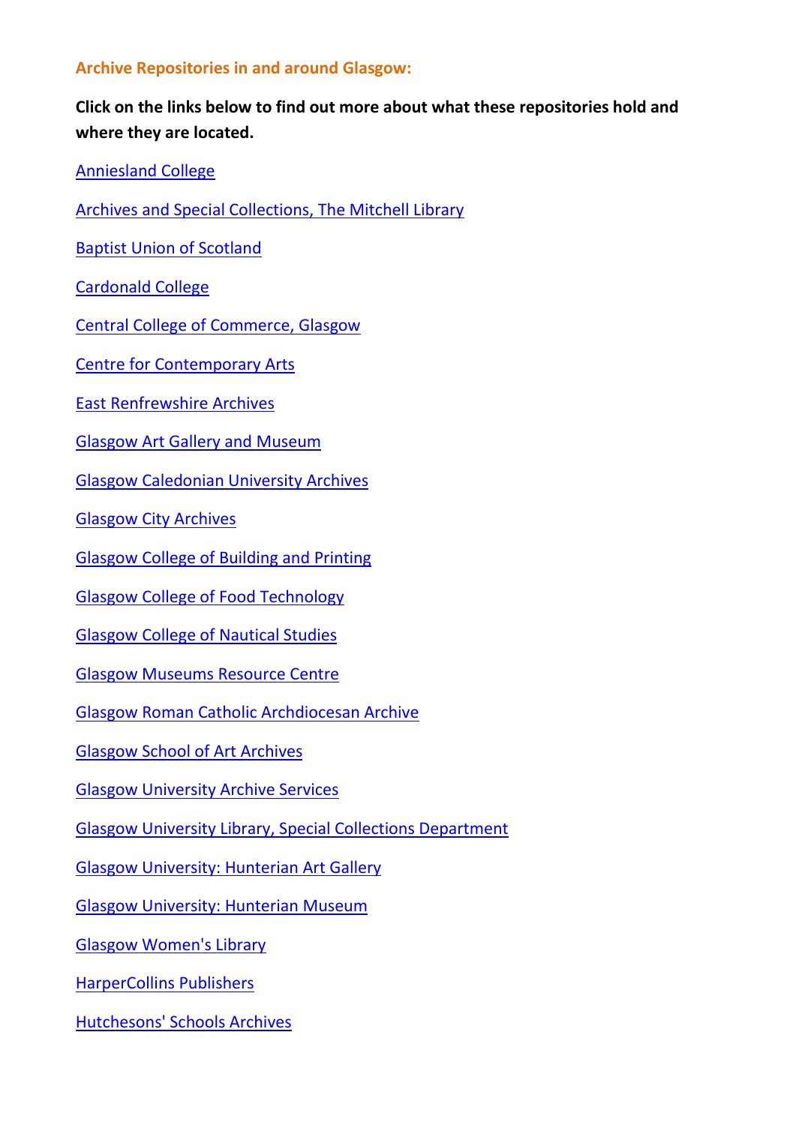## **Archive Repositories in and around Glasgow:**

**Click on the links below to find out more about what these repositories hold and where they are located.**

[Anniesland College](http://discovery.nationalarchives.gov.uk/details/a/A13533147)

[Archives and Special Collections, The Mitchell Library](http://discovery.nationalarchives.gov.uk/details/a/A13532989)

[Baptist Union of Scotland](http://discovery.nationalarchives.gov.uk/details/a/A13530212)

[Cardonald College](http://discovery.nationalarchives.gov.uk/details/a/A13530484)

[Central College of Commerce, Glasgow](http://discovery.nationalarchives.gov.uk/details/a/A13531920)

[Centre for Contemporary Arts](http://discovery.nationalarchives.gov.uk/details/a/A13530794)

[East Renfrewshire Archives](http://discovery.nationalarchives.gov.uk/details/a/A13529987)

[Glasgow Art Gallery and Museum](http://discovery.nationalarchives.gov.uk/details/a/A13530308)

[Glasgow Caledonian University Archives](http://discovery.nationalarchives.gov.uk/details/a/A13530982)

[Glasgow City Archives](http://discovery.nationalarchives.gov.uk/details/a/A13533146)

[Glasgow College of Building and Printing](http://discovery.nationalarchives.gov.uk/details/a/A13530249)

[Glasgow College of Food Technology](http://discovery.nationalarchives.gov.uk/details/a/A13531136)

[Glasgow College of Nautical Studies](http://discovery.nationalarchives.gov.uk/details/a/A13532585)

[Glasgow Museums Resource Centre](http://discovery.nationalarchives.gov.uk/details/a/A13532570)

[Glasgow Roman Catholic Archdiocesan Archive](http://discovery.nationalarchives.gov.uk/details/a/A13530500)

[Glasgow School of Art Archives](http://discovery.nationalarchives.gov.uk/details/a/A13532651)

[Glasgow University Archive Services](http://discovery.nationalarchives.gov.uk/details/a/A13532142)

[Glasgow University Library, Special Collections Department](http://discovery.nationalarchives.gov.uk/details/a/A13531105)

[Glasgow University: Hunterian Art Gallery](http://discovery.nationalarchives.gov.uk/details/a/A13531432)

[Glasgow University: Hunterian Museum](http://discovery.nationalarchives.gov.uk/details/a/A13530470)

[Glasgow Women's Library](http://discovery.nationalarchives.gov.uk/details/a/A13532925)

[HarperCollins Publishers](http://discovery.nationalarchives.gov.uk/details/a/A14222097)

[Hutchesons' Schools Archives](http://discovery.nationalarchives.gov.uk/details/a/A14074896)